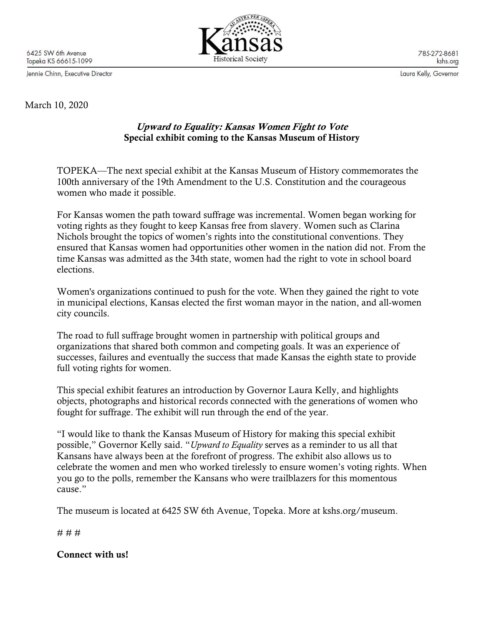6425 SW 6th Avenue Topeka KS 66615-1099

Jennie Chinn, Executive Director



785-272-8681 kshs.org

Laura Kelly, Governor

March 10, 2020

## Upward to Equality: Kansas Women Fight to Vote Special exhibit coming to the Kansas Museum of History

TOPEKA—The next special exhibit at the Kansas Museum of History commemorates the 100th anniversary of the 19th Amendment to the U.S. Constitution and the courageous women who made it possible.

For Kansas women the path toward suffrage was incremental. Women began working for voting rights as they fought to keep Kansas free from slavery. Women such as Clarina Nichols brought the topics of women's rights into the constitutional conventions. They ensured that Kansas women had opportunities other women in the nation did not. From the time Kansas was admitted as the 34th state, women had the right to vote in school board elections.

Women's organizations continued to push for the vote. When they gained the right to vote in municipal elections, Kansas elected the first woman mayor in the nation, and all-women city councils.

The road to full suffrage brought women in partnership with political groups and organizations that shared both common and competing goals. It was an experience of successes, failures and eventually the success that made Kansas the eighth state to provide full voting rights for women.

This special exhibit features an introduction by Governor Laura Kelly, and highlights objects, photographs and historical records connected with the generations of women who fought for suffrage. The exhibit will run through the end of the year.

"I would like to thank the Kansas Museum of History for making this special exhibit possible," Governor Kelly said. "*Upward to Equality* serves as a reminder to us all that Kansans have always been at the forefront of progress. The exhibit also allows us to celebrate the women and men who worked tirelessly to ensure women's voting rights. When you go to the polls, remember the Kansans who were trailblazers for this momentous cause."

The museum is located at 6425 SW 6th Avenue, Topeka. More at kshs.org/museum.

# # #

Connect with us!